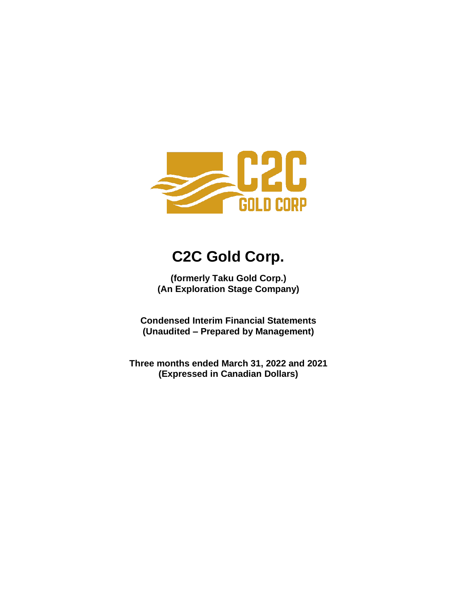

# **C2C Gold Corp.**

**(formerly Taku Gold Corp.) (An Exploration Stage Company)**

**Condensed Interim Financial Statements (Unaudited – Prepared by Management)**

**Three months ended March 31, 2022 and 2021 (Expressed in Canadian Dollars)**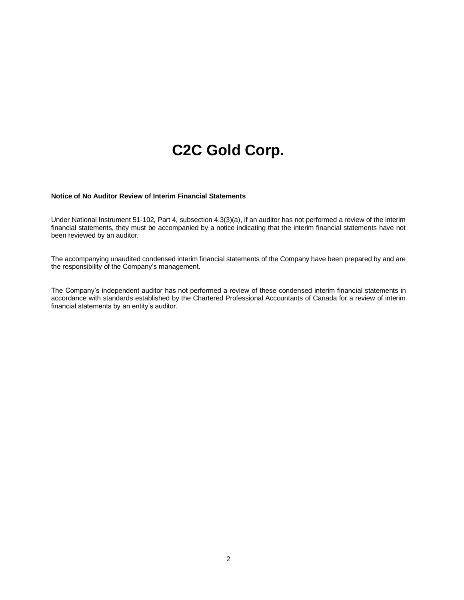# **C2C Gold Corp.**

#### **Notice of No Auditor Review of Interim Financial Statements**

Under National Instrument 51-102, Part 4, subsection 4.3(3)(a), if an auditor has not performed a review of the interim financial statements, they must be accompanied by a notice indicating that the interim financial statements have not been reviewed by an auditor.

The accompanying unaudited condensed interim financial statements of the Company have been prepared by and are the responsibility of the Company's management.

The Company's independent auditor has not performed a review of these condensed interim financial statements in accordance with standards established by the Chartered Professional Accountants of Canada for a review of interim financial statements by an entity's auditor.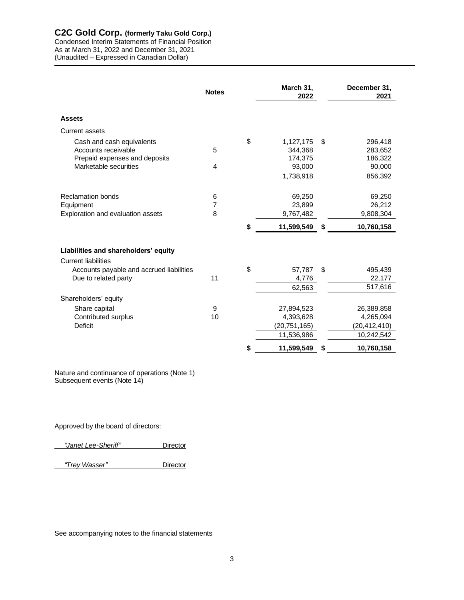Condensed Interim Statements of Financial Position As at March 31, 2022 and December 31, 2021 (Unaudited – Expressed in Canadian Dollar)

|                                          | <b>Notes</b>   | March 31,<br>2022 |    | December 31,<br>2021 |
|------------------------------------------|----------------|-------------------|----|----------------------|
| <b>Assets</b>                            |                |                   |    |                      |
| <b>Current assets</b>                    |                |                   |    |                      |
| Cash and cash equivalents                |                | \$<br>1,127,175   | \$ | 296,418              |
| Accounts receivable                      | 5              | 344,368           |    | 283,652              |
| Prepaid expenses and deposits            |                | 174,375           |    | 186,322              |
| Marketable securities                    | 4              | 93,000            |    | 90,000               |
|                                          |                | 1,738,918         |    | 856,392              |
|                                          |                |                   |    |                      |
| <b>Reclamation bonds</b>                 | 6              | 69,250            |    | 69,250               |
| Equipment                                | $\overline{7}$ | 23,899            |    | 26,212               |
| Exploration and evaluation assets        | 8              | 9,767,482         |    | 9,808,304            |
|                                          |                | \$<br>11,599,549  | S  | 10,760,158           |
|                                          |                |                   |    |                      |
| Liabilities and shareholders' equity     |                |                   |    |                      |
| <b>Current liabilities</b>               |                |                   |    |                      |
| Accounts payable and accrued liabilities |                | \$<br>57,787      | \$ | 495,439              |
| Due to related party                     | 11             | 4,776             |    | 22,177               |
|                                          |                | 62,563            |    | 517,616              |
| Shareholders' equity                     |                |                   |    |                      |
| Share capital                            | 9              | 27,894,523        |    | 26,389,858           |
| Contributed surplus                      | 10             | 4,393,628         |    | 4,265,094            |
| Deficit                                  |                | (20, 751, 165)    |    | (20, 412, 410)       |
|                                          |                | 11,536,986        |    | 10,242,542           |
|                                          |                | \$<br>11,599,549  | \$ | 10,760,158           |

Nature and continuance of operations (Note 1) Subsequent events (Note 14)

Approved by the board of directors:

 *"Janet Lee-Sheriff"* Director

 *"Trey Wasser"* Director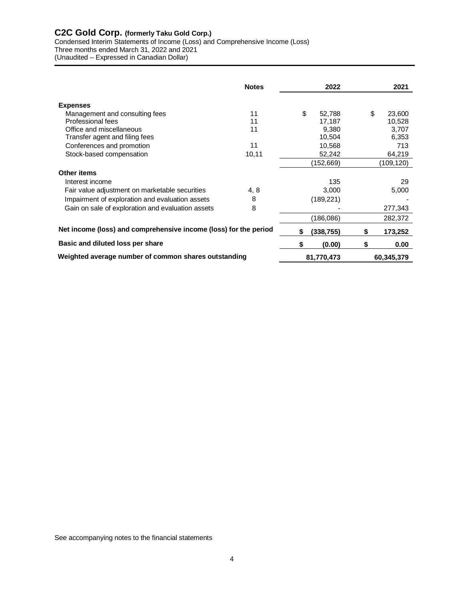Condensed Interim Statements of Income (Loss) and Comprehensive Income (Loss)

Three months ended March 31, 2022 and 2021

(Unaudited – Expressed in Canadian Dollar)

|                                                                  | <b>Notes</b> |    | 2022       |    | 2021       |
|------------------------------------------------------------------|--------------|----|------------|----|------------|
| <b>Expenses</b>                                                  |              |    |            |    |            |
| Management and consulting fees                                   | 11           | \$ | 52,788     | \$ | 23,600     |
| Professional fees                                                | 11           |    | 17,187     |    | 10,528     |
| Office and miscellaneous                                         | 11           |    | 9,380      |    | 3,707      |
| Transfer agent and filing fees                                   |              |    | 10,504     |    | 6,353      |
| Conferences and promotion                                        | 11           |    | 10,568     |    | 713        |
| Stock-based compensation                                         | 10, 11       |    | 52,242     |    | 64,219     |
|                                                                  |              |    | (152,669)  |    | (109,120)  |
| Other items                                                      |              |    |            |    |            |
| Interest income                                                  |              |    | 135        |    | 29         |
| Fair value adjustment on marketable securities                   | 4, 8         |    | 3,000      |    | 5,000      |
| Impairment of exploration and evaluation assets                  | 8            |    | (189, 221) |    |            |
| Gain on sale of exploration and evaluation assets                | 8            |    |            |    | 277,343    |
|                                                                  |              |    | (186,086)  |    | 282,372    |
| Net income (loss) and comprehensive income (loss) for the period |              | S  | (338,755)  |    | 173,252    |
| Basic and diluted loss per share                                 |              | S  | (0.00)     | S  | 0.00       |
| Weighted average number of common shares outstanding             |              |    | 81,770,473 |    | 60,345,379 |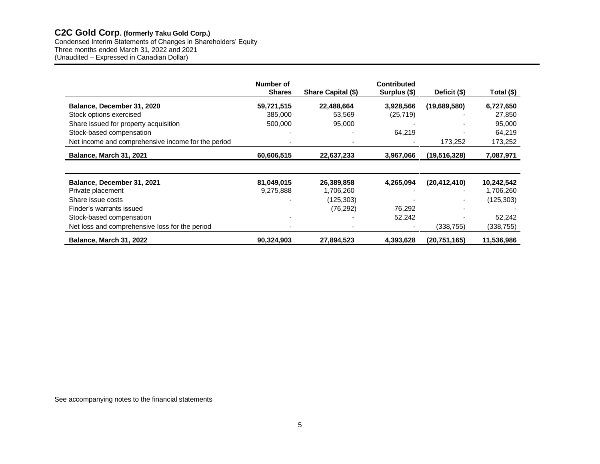Condensed Interim Statements of Changes in Shareholders' Equity Three months ended March 31, 2022 and 2021 (Unaudited – Expressed in Canadian Dollar)

|                                                    | Number of<br><b>Shares</b> | Share Capital (\$) | <b>Contributed</b><br>Surplus (\$) | Deficit (\$)   | Total (\$) |
|----------------------------------------------------|----------------------------|--------------------|------------------------------------|----------------|------------|
| Balance, December 31, 2020                         | 59,721,515                 | 22,488,664         | 3,928,566                          | (19,689,580)   | 6,727,650  |
| Stock options exercised                            | 385,000                    | 53,569             | (25, 719)                          |                | 27,850     |
|                                                    | 500,000                    | 95,000             |                                    |                | 95,000     |
| Share issued for property acquisition              |                            |                    |                                    |                |            |
| Stock-based compensation                           |                            |                    | 64.219                             |                | 64,219     |
| Net income and comprehensive income for the period |                            |                    |                                    | 173,252        | 173,252    |
| Balance, March 31, 2021                            | 60,606,515                 | 22,637,233         | 3,967,066                          | (19,516,328)   | 7,087,971  |
|                                                    |                            |                    |                                    |                |            |
| Balance, December 31, 2021                         | 81,049,015                 | 26,389,858         | 4,265,094                          | (20, 412, 410) | 10,242,542 |
| Private placement                                  | 9,275,888                  | 1,706,260          |                                    |                | 1,706,260  |
| Share issue costs                                  |                            | (125, 303)         |                                    |                | (125, 303) |
| Finder's warrants issued                           |                            | (76, 292)          | 76,292                             |                |            |
| Stock-based compensation                           |                            |                    | 52,242                             |                | 52,242     |
| Net loss and comprehensive loss for the period     |                            |                    |                                    | (338,755)      | (338,755)  |
| <b>Balance, March 31, 2022</b>                     | 90,324,903                 | 27,894,523         | 4,393,628                          | (20, 751, 165) | 11,536,986 |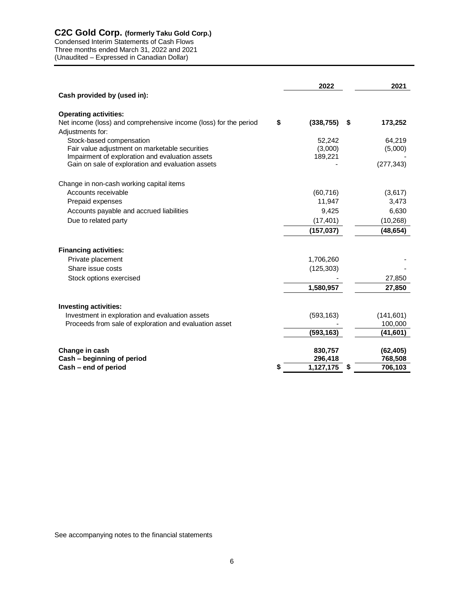Condensed Interim Statements of Cash Flows Three months ended March 31, 2022 and 2021 (Unaudited – Expressed in Canadian Dollar)

|                                                                                            | 2022       |    | 2021       |
|--------------------------------------------------------------------------------------------|------------|----|------------|
| Cash provided by (used in):                                                                |            |    |            |
| <b>Operating activities:</b>                                                               |            |    |            |
| Net income (loss) and comprehensive income (loss) for the period<br>\$<br>Adjustments for: | (338, 755) | S. | 173,252    |
| Stock-based compensation                                                                   | 52,242     |    | 64,219     |
| Fair value adjustment on marketable securities                                             | (3,000)    |    | (5,000)    |
| Impairment of exploration and evaluation assets                                            | 189,221    |    |            |
| Gain on sale of exploration and evaluation assets                                          |            |    | (277, 343) |
| Change in non-cash working capital items                                                   |            |    |            |
| Accounts receivable                                                                        | (60, 716)  |    | (3,617)    |
| Prepaid expenses                                                                           | 11,947     |    | 3,473      |
| Accounts payable and accrued liabilities                                                   | 9,425      |    | 6,630      |
| Due to related party                                                                       | (17, 401)  |    | (10, 268)  |
|                                                                                            | (157, 037) |    | (48, 654)  |
| <b>Financing activities:</b>                                                               |            |    |            |
| Private placement                                                                          | 1,706,260  |    |            |
| Share issue costs                                                                          | (125, 303) |    |            |
| Stock options exercised                                                                    |            |    | 27,850     |
|                                                                                            | 1,580,957  |    | 27,850     |
|                                                                                            |            |    |            |
| <b>Investing activities:</b><br>Investment in exploration and evaluation assets            | (593, 163) |    | (141, 601) |
| Proceeds from sale of exploration and evaluation asset                                     |            |    | 100,000    |
|                                                                                            | (593, 163) |    | (41,601)   |
| Change in cash                                                                             | 830,757    |    | (62, 405)  |
| Cash - beginning of period                                                                 | 296,418    |    | 768,508    |
| Cash – end of period                                                                       | 1,127,175  | \$ | 706,103    |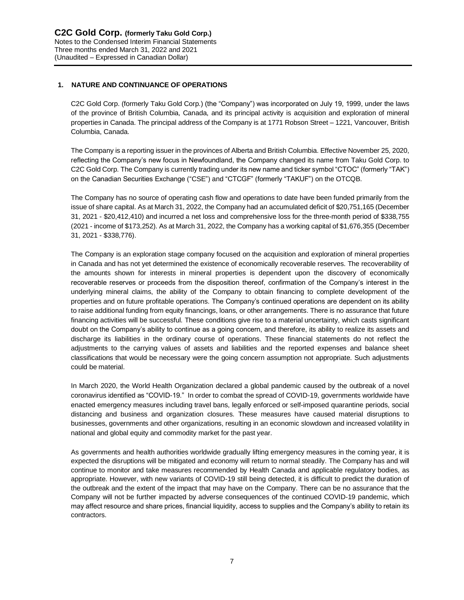# **1. NATURE AND CONTINUANCE OF OPERATIONS**

C2C Gold Corp. (formerly Taku Gold Corp.) (the "Company") was incorporated on July 19, 1999, under the laws of the province of British Columbia, Canada, and its principal activity is acquisition and exploration of mineral properties in Canada. The principal address of the Company is at 1771 Robson Street – 1221, Vancouver, British Columbia, Canada.

The Company is a reporting issuer in the provinces of Alberta and British Columbia. Effective November 25, 2020, reflecting the Company's new focus in Newfoundland, the Company changed its name from Taku Gold Corp. to C2C Gold Corp. The Company is currently trading under its new name and ticker symbol "CTOC" (formerly "TAK") on the Canadian Securities Exchange ("CSE") and "CTCGF" (formerly "TAKUF") on the OTCQB.

The Company has no source of operating cash flow and operations to date have been funded primarily from the issue of share capital. As at March 31, 2022, the Company had an accumulated deficit of \$20,751,165 (December 31, 2021 - \$20,412,410) and incurred a net loss and comprehensive loss for the three-month period of \$338,755 (2021 - income of \$173,252). As at March 31, 2022, the Company has a working capital of \$1,676,355 (December 31, 2021 - \$338,776).

The Company is an exploration stage company focused on the acquisition and exploration of mineral properties in Canada and has not yet determined the existence of economically recoverable reserves. The recoverability of the amounts shown for interests in mineral properties is dependent upon the discovery of economically recoverable reserves or proceeds from the disposition thereof, confirmation of the Company's interest in the underlying mineral claims, the ability of the Company to obtain financing to complete development of the properties and on future profitable operations. The Company's continued operations are dependent on its ability to raise additional funding from equity financings, loans, or other arrangements. There is no assurance that future financing activities will be successful. These conditions give rise to a material uncertainty, which casts significant doubt on the Company's ability to continue as a going concern, and therefore, its ability to realize its assets and discharge its liabilities in the ordinary course of operations. These financial statements do not reflect the adjustments to the carrying values of assets and liabilities and the reported expenses and balance sheet classifications that would be necessary were the going concern assumption not appropriate. Such adjustments could be material.

In March 2020, the World Health Organization declared a global pandemic caused by the outbreak of a novel coronavirus identified as "COVID-19." In order to combat the spread of COVID-19, governments worldwide have enacted emergency measures including travel bans, legally enforced or self-imposed quarantine periods, social distancing and business and organization closures. These measures have caused material disruptions to businesses, governments and other organizations, resulting in an economic slowdown and increased volatility in national and global equity and commodity market for the past year.

As governments and health authorities worldwide gradually lifting emergency measures in the coming year, it is expected the disruptions will be mitigated and economy will return to normal steadily. The Company has and will continue to monitor and take measures recommended by Health Canada and applicable regulatory bodies, as appropriate. However, with new variants of COVID-19 still being detected, it is difficult to predict the duration of the outbreak and the extent of the impact that may have on the Company. There can be no assurance that the Company will not be further impacted by adverse consequences of the continued COVID-19 pandemic, which may affect resource and share prices, financial liquidity, access to supplies and the Company's ability to retain its contractors.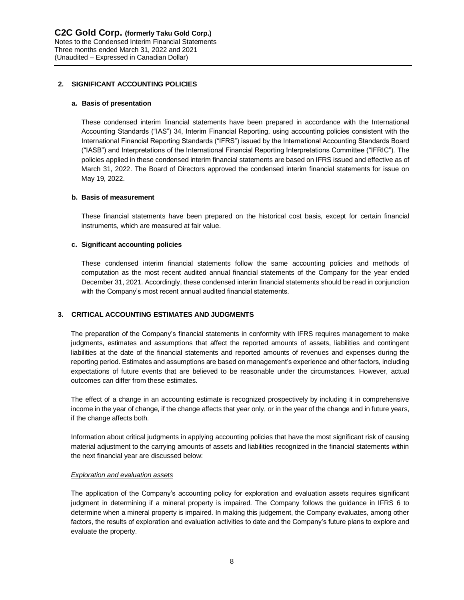# **2. SIGNIFICANT ACCOUNTING POLICIES**

#### **a. Basis of presentation**

These condensed interim financial statements have been prepared in accordance with the International Accounting Standards ("IAS") 34, Interim Financial Reporting, using accounting policies consistent with the International Financial Reporting Standards ("IFRS") issued by the International Accounting Standards Board ("IASB") and Interpretations of the International Financial Reporting Interpretations Committee ("IFRIC"). The policies applied in these condensed interim financial statements are based on IFRS issued and effective as of March 31, 2022. The Board of Directors approved the condensed interim financial statements for issue on May 19, 2022.

#### **b. Basis of measurement**

These financial statements have been prepared on the historical cost basis, except for certain financial instruments, which are measured at fair value.

#### **c. Significant accounting policies**

These condensed interim financial statements follow the same accounting policies and methods of computation as the most recent audited annual financial statements of the Company for the year ended December 31, 2021. Accordingly, these condensed interim financial statements should be read in conjunction with the Company's most recent annual audited financial statements.

## **3. CRITICAL ACCOUNTING ESTIMATES AND JUDGMENTS**

The preparation of the Company's financial statements in conformity with IFRS requires management to make judgments, estimates and assumptions that affect the reported amounts of assets, liabilities and contingent liabilities at the date of the financial statements and reported amounts of revenues and expenses during the reporting period. Estimates and assumptions are based on management's experience and other factors, including expectations of future events that are believed to be reasonable under the circumstances. However, actual outcomes can differ from these estimates.

The effect of a change in an accounting estimate is recognized prospectively by including it in comprehensive income in the year of change, if the change affects that year only, or in the year of the change and in future years, if the change affects both.

Information about critical judgments in applying accounting policies that have the most significant risk of causing material adjustment to the carrying amounts of assets and liabilities recognized in the financial statements within the next financial year are discussed below:

#### *Exploration and evaluation assets*

The application of the Company's accounting policy for exploration and evaluation assets requires significant judgment in determining if a mineral property is impaired. The Company follows the guidance in IFRS 6 to determine when a mineral property is impaired. In making this judgement, the Company evaluates, among other factors, the results of exploration and evaluation activities to date and the Company's future plans to explore and evaluate the property.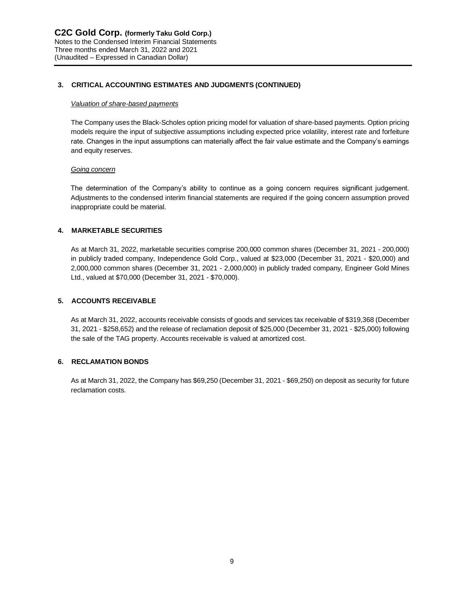# **3. CRITICAL ACCOUNTING ESTIMATES AND JUDGMENTS (CONTINUED)**

#### *Valuation of share-based payments*

The Company uses the Black-Scholes option pricing model for valuation of share-based payments. Option pricing models require the input of subjective assumptions including expected price volatility, interest rate and forfeiture rate. Changes in the input assumptions can materially affect the fair value estimate and the Company's earnings and equity reserves.

#### *Going concern*

The determination of the Company's ability to continue as a going concern requires significant judgement. Adjustments to the condensed interim financial statements are required if the going concern assumption proved inappropriate could be material.

# **4. MARKETABLE SECURITIES**

As at March 31, 2022, marketable securities comprise 200,000 common shares (December 31, 2021 - 200,000) in publicly traded company, Independence Gold Corp., valued at \$23,000 (December 31, 2021 - \$20,000) and 2,000,000 common shares (December 31, 2021 - 2,000,000) in publicly traded company, Engineer Gold Mines Ltd., valued at \$70,000 (December 31, 2021 - \$70,000).

# **5. ACCOUNTS RECEIVABLE**

As at March 31, 2022, accounts receivable consists of goods and services tax receivable of \$319,368 (December 31, 2021 - \$258,652) and the release of reclamation deposit of \$25,000 (December 31, 2021 - \$25,000) following the sale of the TAG property. Accounts receivable is valued at amortized cost.

## **6. RECLAMATION BONDS**

As at March 31, 2022, the Company has \$69,250 (December 31, 2021 - \$69,250) on deposit as security for future reclamation costs.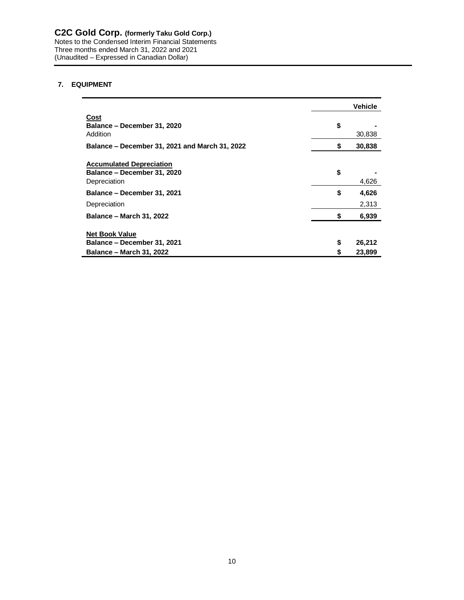Notes to the Condensed Interim Financial Statements Three months ended March 31, 2022 and 2021 (Unaudited – Expressed in Canadian Dollar)

# **7. EQUIPMENT**

|                                                                                | Vehicle      |
|--------------------------------------------------------------------------------|--------------|
| Cost<br>Balance – December 31, 2020<br>Addition                                | \$<br>30,838 |
| Balance – December 31, 2021 and March 31, 2022                                 | \$<br>30,838 |
| <b>Accumulated Depreciation</b><br>Balance – December 31, 2020<br>Depreciation | \$<br>4,626  |
| Balance – December 31, 2021                                                    | \$<br>4,626  |
| Depreciation                                                                   | 2,313        |
| <b>Balance - March 31, 2022</b>                                                | \$<br>6,939  |
| <b>Net Book Value</b><br>Balance – December 31, 2021                           | \$<br>26,212 |
| <b>Balance – March 31, 2022</b>                                                | \$<br>23,899 |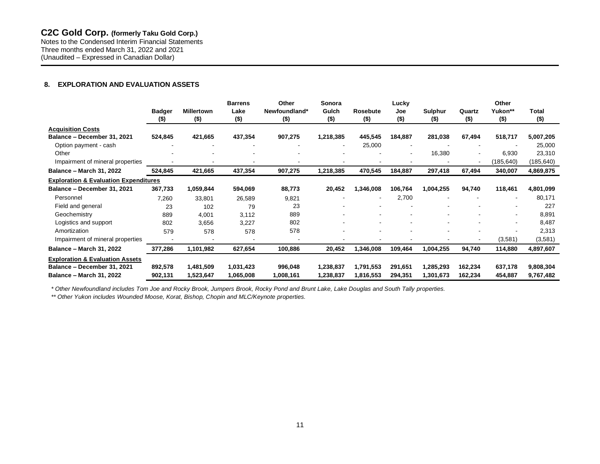Notes to the Condensed Interim Financial Statements Three months ended March 31, 2022 and 2021 (Unaudited – Expressed in Canadian Dollar)

# **8. EXPLORATION AND EVALUATION ASSETS**

|                                                  |               |                   | <b>Barrens</b> | Other         | Sonora    |                          | Lucky          |                |                          | Other                    |           |
|--------------------------------------------------|---------------|-------------------|----------------|---------------|-----------|--------------------------|----------------|----------------|--------------------------|--------------------------|-----------|
|                                                  | <b>Badger</b> | <b>Millertown</b> | Lake           | Newfoundland* | Gulch     | Rosebute                 | Joe            | <b>Sulphur</b> | Quartz                   | Yukon**                  | Total     |
|                                                  | $($ \$)       | $($ \$)           | $($ \$)        | $($ \$)       | $($ \$)   | $($ \$)                  | $($ \$)        | $($ \$)        | $($ \$)                  | $($ \$)                  | $($ \$)   |
| <b>Acquisition Costs</b>                         |               |                   |                |               |           |                          |                |                |                          |                          |           |
| Balance - December 31, 2021                      | 524,845       | 421,665           | 437,354        | 907,275       | 1,218,385 | 445,545                  | 184,887        | 281,038        | 67,494                   | 518,717                  | 5,007,205 |
| Option payment - cash                            |               |                   |                |               | $\sim$    | 25,000                   | $\blacksquare$ |                | ÷                        |                          | 25,000    |
| Other                                            |               |                   |                |               |           |                          |                | 16,380         |                          | 6,930                    | 23,310    |
| Impairment of mineral properties                 |               |                   |                |               |           |                          |                |                | $\overline{\phantom{a}}$ | (185, 640)               | (185,640) |
| <b>Balance - March 31, 2022</b>                  | 524,845       | 421,665           | 437,354        | 907,275       | 1,218,385 | 470,545                  | 184,887        | 297,418        | 67,494                   | 340,007                  | 4,869,875 |
| <b>Exploration &amp; Evaluation Expenditures</b> |               |                   |                |               |           |                          |                |                |                          |                          |           |
| Balance - December 31, 2021                      | 367,733       | 1,059,844         | 594,069        | 88,773        | 20,452    | 1,346,008                | 106,764        | 1,004,255      | 94,740                   | 118,461                  | 4,801,099 |
| Personnel                                        | 7,260         | 33,801            | 26,589         | 9,821         |           | $\overline{\phantom{a}}$ | 2,700          |                |                          | $\overline{\phantom{a}}$ | 80,171    |
| Field and general                                | 23            | 102               | 79             | 23            |           |                          |                |                |                          | $\overline{\phantom{a}}$ | 227       |
| Geochemistry                                     | 889           | 4,001             | 3,112          | 889           |           |                          |                |                |                          | $\overline{\phantom{a}}$ | 8,891     |
| Logistics and support                            | 802           | 3,656             | 3,227          | 802           |           |                          |                |                |                          | $\overline{\phantom{a}}$ | 8,487     |
| Amortization                                     | 579           | 578               | 578            | 578           |           |                          |                |                |                          |                          | 2,313     |
| Impairment of mineral properties                 |               |                   |                |               |           |                          |                |                |                          | (3,581)                  | (3,581)   |
| <b>Balance - March 31, 2022</b>                  | 377,286       | 1,101,982         | 627,654        | 100,886       | 20,452    | 1,346,008                | 109,464        | 1,004,255      | 94,740                   | 114,880                  | 4,897,607 |
| <b>Exploration &amp; Evaluation Assets</b>       |               |                   |                |               |           |                          |                |                |                          |                          |           |
| Balance - December 31, 2021                      | 892,578       | 1,481,509         | 1,031,423      | 996,048       | 1,238,837 | 1,791,553                | 291,651        | 1,285,293      | 162,234                  | 637,178                  | 9,808,304 |
| <b>Balance - March 31, 2022</b>                  | 902,131       | 1,523,647         | 1,065,008      | 1,008,161     | 1,238,837 | 1,816,553                | 294,351        | 1,301,673      | 162,234                  | 454,887                  | 9,767,482 |

*\* Other Newfoundland includes Tom Joe and Rocky Brook, Jumpers Brook, Rocky Pond and Brunt Lake, Lake Douglas and South Tally properties.*

*\*\* Other Yukon includes Wounded Moose, Korat, Bishop, Chopin and MLC/Keynote properties.*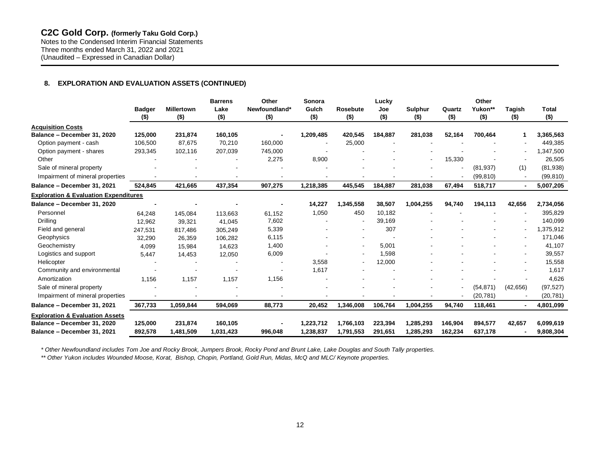Notes to the Condensed Interim Financial Statements Three months ended March 31, 2022 and 2021 (Unaudited – Expressed in Canadian Dollar)

# **8. EXPLORATION AND EVALUATION ASSETS (CONTINUED)**

|                                                  | <b>Badger</b><br>$($ \$) | <b>Millertown</b><br>$($ \$) | <b>Barrens</b><br>Lake<br>$($ \$) | Other<br>Newfoundland*<br>$($ \$) | Sonora<br>Gulch<br>$($ \$) | <b>Rosebute</b><br>$($ \$) | Lucky<br>Joe<br>$($ \$)  | <b>Sulphur</b><br>$($ \$) | Quartz<br>$($ \$) | Other<br>Yukon**<br>$($ \$) | Tagish<br>$($ \$)        | <b>Total</b><br>$($ \$) |
|--------------------------------------------------|--------------------------|------------------------------|-----------------------------------|-----------------------------------|----------------------------|----------------------------|--------------------------|---------------------------|-------------------|-----------------------------|--------------------------|-------------------------|
| <b>Acquisition Costs</b>                         |                          |                              |                                   |                                   |                            |                            |                          |                           |                   |                             |                          |                         |
| Balance - December 31, 2020                      | 125,000                  | 231,874                      | 160,105                           |                                   | 1,209,485                  | 420,545                    | 184,887                  | 281.038                   | 52,164            | 700,464                     |                          | 3,365,563               |
| Option payment - cash                            | 106,500                  | 87.675                       | 70,210                            | 160,000                           |                            | 25,000                     |                          |                           |                   |                             |                          | 449,385                 |
| Option payment - shares                          | 293,345                  | 102,116                      | 207,039                           | 745,000                           |                            |                            |                          |                           |                   |                             |                          | 1,347,500               |
| Other                                            |                          |                              |                                   | 2,275                             | 8,900                      |                            |                          |                           | 15,330            |                             |                          | 26,505                  |
| Sale of mineral property                         |                          |                              |                                   |                                   |                            |                            |                          |                           |                   | (81, 937)                   | (1)                      | (81,938)                |
| Impairment of mineral properties                 |                          |                              |                                   |                                   |                            |                            |                          |                           |                   | (99, 810)                   |                          | (99, 810)               |
| Balance - December 31, 2021                      | 524,845                  | 421,665                      | 437,354                           | 907,275                           | 1,218,385                  | 445,545                    | 184,887                  | 281,038                   | 67,494            | 518,717                     |                          | 5,007,205               |
| <b>Exploration &amp; Evaluation Expenditures</b> |                          |                              |                                   |                                   |                            |                            |                          |                           |                   |                             |                          |                         |
| Balance - December 31, 2020                      |                          |                              |                                   |                                   | 14,227                     | 1,345,558                  | 38,507                   | 1,004,255                 | 94,740            | 194,113                     | 42,656                   | 2,734,056               |
| Personnel                                        | 64,248                   | 145,084                      | 113,663                           | 61,152                            | 1,050                      | 450                        | 10,182                   |                           |                   |                             |                          | 395,829                 |
| Drilling                                         | 12,962                   | 39,321                       | 41,045                            | 7,602                             |                            | $\overline{\phantom{a}}$   | 39,169                   |                           |                   |                             |                          | 140,099                 |
| Field and general                                | 247,531                  | 817.486                      | 305,249                           | 5,339                             |                            | $\blacksquare$             | 307                      |                           |                   |                             |                          | 1,375,912               |
| Geophysics                                       | 32,290                   | 26,359                       | 106,282                           | 6,115                             |                            | $\overline{\phantom{a}}$   | $\overline{\phantom{a}}$ |                           |                   |                             |                          | 171,046                 |
| Geochemistry                                     | 4,099                    | 15,984                       | 14,623                            | 1,400                             |                            | $\sim$                     | 5,001                    |                           |                   |                             | $\overline{\phantom{a}}$ | 41,107                  |
| Logistics and support                            | 5,447                    | 14,453                       | 12,050                            | 6,009                             |                            |                            | 1,598                    |                           |                   |                             |                          | 39,557                  |
| Helicopter                                       |                          |                              |                                   |                                   | 3,558                      |                            | 12,000                   |                           |                   |                             |                          | 15,558                  |
| Community and environmental                      |                          |                              |                                   |                                   | 1,617                      |                            |                          |                           |                   |                             |                          | 1,617                   |
| Amortization                                     | 1,156                    | 1,157                        | 1,157                             | 1,156                             |                            |                            |                          |                           |                   |                             |                          | 4,626                   |
| Sale of mineral property                         |                          |                              |                                   |                                   |                            |                            |                          |                           |                   | (54, 871)                   | (42, 656)                | (97, 527)               |
| Impairment of mineral properties                 |                          |                              |                                   |                                   |                            |                            |                          |                           |                   | (20, 781)                   |                          | (20,781)                |
| Balance - December 31, 2021                      | 367,733                  | 1,059,844                    | 594,069                           | 88,773                            | 20,452                     | 1,346,008                  | 106,764                  | 1,004,255                 | 94,740            | 118,461                     |                          | 4,801,099               |
| <b>Exploration &amp; Evaluation Assets</b>       |                          |                              |                                   |                                   |                            |                            |                          |                           |                   |                             |                          |                         |
| Balance - December 31, 2020                      | 125,000                  | 231,874                      | 160,105                           |                                   | 1,223,712                  | 1,766,103                  | 223,394                  | 1.285.293                 | 146,904           | 894,577                     | 42,657                   | 6,099,619               |
| Balance - December 31, 2021                      | 892,578                  | 1,481,509                    | 1,031,423                         | 996,048                           | 1,238,837                  | 1,791,553                  | 291,651                  | 1,285,293                 | 162,234           | 637,178                     |                          | 9,808,304               |

*\* Other Newfoundland includes Tom Joe and Rocky Brook, Jumpers Brook, Rocky Pond and Brunt Lake, Lake Douglas and South Tally properties.*

*\*\* Other Yukon includes Wounded Moose, Korat, Bishop, Chopin, Portland, Gold Run, Midas, McQ and MLC/ Keynote properties.*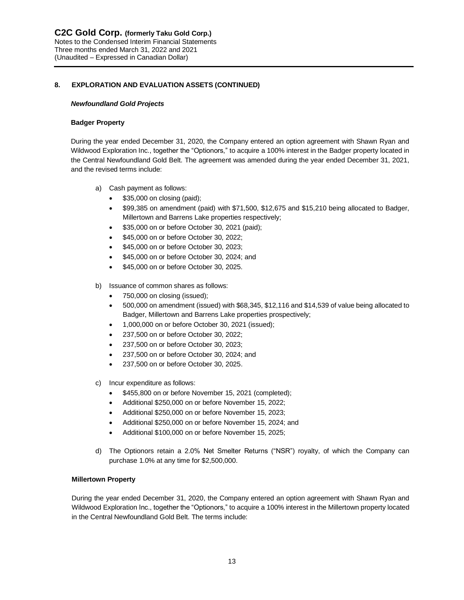#### *Newfoundland Gold Projects*

#### **Badger Property**

During the year ended December 31, 2020, the Company entered an option agreement with Shawn Ryan and Wildwood Exploration Inc., together the "Optionors," to acquire a 100% interest in the Badger property located in the Central Newfoundland Gold Belt. The agreement was amended during the year ended December 31, 2021, and the revised terms include:

- a) Cash payment as follows:
	- \$35,000 on closing (paid);
	- \$99,385 on amendment (paid) with \$71,500, \$12,675 and \$15,210 being allocated to Badger, Millertown and Barrens Lake properties respectively;
	- \$35,000 on or before October 30, 2021 (paid);
	- \$45,000 on or before October 30, 2022;
	- \$45,000 on or before October 30, 2023;
	- \$45,000 on or before October 30, 2024; and
	- \$45,000 on or before October 30, 2025.
- b) Issuance of common shares as follows:
	- 750,000 on closing (issued);
	- 500,000 on amendment (issued) with \$68,345, \$12,116 and \$14,539 of value being allocated to Badger, Millertown and Barrens Lake properties prospectively;
	- 1,000,000 on or before October 30, 2021 (issued);
	- 237,500 on or before October 30, 2022;
	- 237,500 on or before October 30, 2023;
	- 237,500 on or before October 30, 2024; and
	- 237,500 on or before October 30, 2025.
- c) Incur expenditure as follows:
	- \$455,800 on or before November 15, 2021 (completed);
	- Additional \$250,000 on or before November 15, 2022;
	- Additional \$250,000 on or before November 15, 2023;
	- Additional \$250,000 on or before November 15, 2024; and
	- Additional \$100,000 on or before November 15, 2025;
- d) The Optionors retain a 2.0% Net Smelter Returns ("NSR") royalty, of which the Company can purchase 1.0% at any time for \$2,500,000.

## **Millertown Property**

During the year ended December 31, 2020, the Company entered an option agreement with Shawn Ryan and Wildwood Exploration Inc., together the "Optionors," to acquire a 100% interest in the Millertown property located in the Central Newfoundland Gold Belt. The terms include: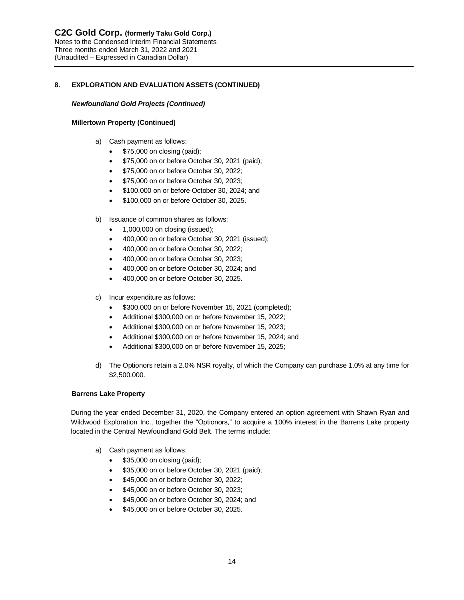#### *Newfoundland Gold Projects (Continued)*

#### **Millertown Property (Continued)**

- a) Cash payment as follows:
	- \$75,000 on closing (paid);
	- \$75,000 on or before October 30, 2021 (paid);
	- \$75,000 on or before October 30, 2022;
	- \$75,000 on or before October 30, 2023;
	- \$100,000 on or before October 30, 2024; and
	- \$100,000 on or before October 30, 2025.
- b) Issuance of common shares as follows:
	- 1,000,000 on closing (issued);
	- 400,000 on or before October 30, 2021 (issued);
	- 400,000 on or before October 30, 2022;
	- 400,000 on or before October 30, 2023;
	- 400,000 on or before October 30, 2024; and
	- 400,000 on or before October 30, 2025.
- c) Incur expenditure as follows:
	- \$300,000 on or before November 15, 2021 (completed);
	- Additional \$300,000 on or before November 15, 2022;
	- Additional \$300,000 on or before November 15, 2023;
	- Additional \$300,000 on or before November 15, 2024; and
	- Additional \$300,000 on or before November 15, 2025;
- d) The Optionors retain a 2.0% NSR royalty, of which the Company can purchase 1.0% at any time for \$2,500,000.

## **Barrens Lake Property**

During the year ended December 31, 2020, the Company entered an option agreement with Shawn Ryan and Wildwood Exploration Inc., together the "Optionors," to acquire a 100% interest in the Barrens Lake property located in the Central Newfoundland Gold Belt. The terms include:

- a) Cash payment as follows:
	- \$35,000 on closing (paid);
	- \$35,000 on or before October 30, 2021 (paid);
	- \$45,000 on or before October 30, 2022;
	- \$45,000 on or before October 30, 2023;
	- \$45,000 on or before October 30, 2024; and
	- \$45,000 on or before October 30, 2025.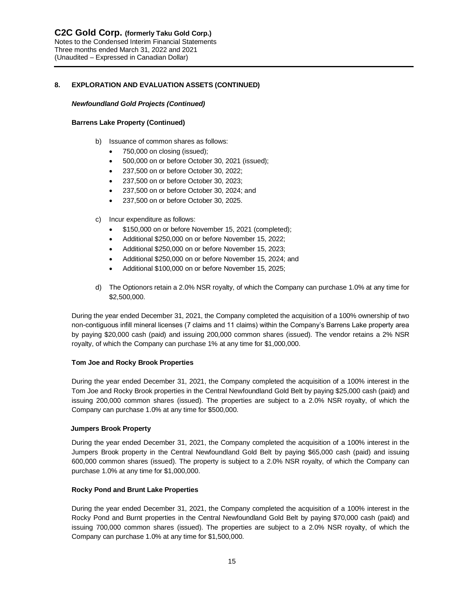# *Newfoundland Gold Projects (Continued)*

# **Barrens Lake Property (Continued)**

- b) Issuance of common shares as follows:
	- 750,000 on closing (issued);
	- 500,000 on or before October 30, 2021 (issued);
	- 237,500 on or before October 30, 2022;
	- 237,500 on or before October 30, 2023;
	- 237,500 on or before October 30, 2024; and
	- 237,500 on or before October 30, 2025.
- c) Incur expenditure as follows:
	- \$150,000 on or before November 15, 2021 (completed);
	- Additional \$250,000 on or before November 15, 2022;
	- Additional \$250,000 on or before November 15, 2023;
	- Additional \$250,000 on or before November 15, 2024; and
	- Additional \$100,000 on or before November 15, 2025;
- d) The Optionors retain a 2.0% NSR royalty, of which the Company can purchase 1.0% at any time for \$2,500,000.

During the year ended December 31, 2021, the Company completed the acquisition of a 100% ownership of two non-contiguous infill mineral licenses (7 claims and 11 claims) within the Company's Barrens Lake property area by paying \$20,000 cash (paid) and issuing 200,000 common shares (issued). The vendor retains a 2% NSR royalty, of which the Company can purchase 1% at any time for \$1,000,000.

# **Tom Joe and Rocky Brook Properties**

During the year ended December 31, 2021, the Company completed the acquisition of a 100% interest in the Tom Joe and Rocky Brook properties in the Central Newfoundland Gold Belt by paying \$25,000 cash (paid) and issuing 200,000 common shares (issued). The properties are subject to a 2.0% NSR royalty, of which the Company can purchase 1.0% at any time for \$500,000.

## **Jumpers Brook Property**

During the year ended December 31, 2021, the Company completed the acquisition of a 100% interest in the Jumpers Brook property in the Central Newfoundland Gold Belt by paying \$65,000 cash (paid) and issuing 600,000 common shares (issued). The property is subject to a 2.0% NSR royalty, of which the Company can purchase 1.0% at any time for \$1,000,000.

# **Rocky Pond and Brunt Lake Properties**

During the year ended December 31, 2021, the Company completed the acquisition of a 100% interest in the Rocky Pond and Burnt properties in the Central Newfoundland Gold Belt by paying \$70,000 cash (paid) and issuing 700,000 common shares (issued). The properties are subject to a 2.0% NSR royalty, of which the Company can purchase 1.0% at any time for \$1,500,000.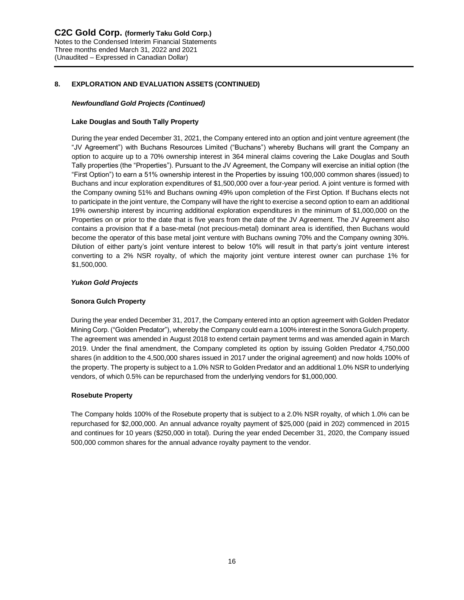#### *Newfoundland Gold Projects (Continued)*

#### **Lake Douglas and South Tally Property**

During the year ended December 31, 2021, the Company entered into an option and joint venture agreement (the "JV Agreement") with Buchans Resources Limited ("Buchans") whereby Buchans will grant the Company an option to acquire up to a 70% ownership interest in 364 mineral claims covering the Lake Douglas and South Tally properties (the "Properties"). Pursuant to the JV Agreement, the Company will exercise an initial option (the "First Option") to earn a 51% ownership interest in the Properties by issuing 100,000 common shares (issued) to Buchans and incur exploration expenditures of \$1,500,000 over a four-year period. A joint venture is formed with the Company owning 51% and Buchans owning 49% upon completion of the First Option. If Buchans elects not to participate in the joint venture, the Company will have the right to exercise a second option to earn an additional 19% ownership interest by incurring additional exploration expenditures in the minimum of \$1,000,000 on the Properties on or prior to the date that is five years from the date of the JV Agreement. The JV Agreement also contains a provision that if a base-metal (not precious-metal) dominant area is identified, then Buchans would become the operator of this base metal joint venture with Buchans owning 70% and the Company owning 30%. Dilution of either party's joint venture interest to below 10% will result in that party's joint venture interest converting to a 2% NSR royalty, of which the majority joint venture interest owner can purchase 1% for \$1,500,000.

## *Yukon Gold Projects*

#### **Sonora Gulch Property**

During the year ended December 31, 2017, the Company entered into an option agreement with Golden Predator Mining Corp. ("Golden Predator"), whereby the Company could earn a 100% interest in the Sonora Gulch property. The agreement was amended in August 2018 to extend certain payment terms and was amended again in March 2019. Under the final amendment, the Company completed its option by issuing Golden Predator 4,750,000 shares (in addition to the 4,500,000 shares issued in 2017 under the original agreement) and now holds 100% of the property. The property is subject to a 1.0% NSR to Golden Predator and an additional 1.0% NSR to underlying vendors, of which 0.5% can be repurchased from the underlying vendors for \$1,000,000.

#### **Rosebute Property**

The Company holds 100% of the Rosebute property that is subject to a 2.0% NSR royalty, of which 1.0% can be repurchased for \$2,000,000. An annual advance royalty payment of \$25,000 (paid in 202) commenced in 2015 and continues for 10 years (\$250,000 in total). During the year ended December 31, 2020, the Company issued 500,000 common shares for the annual advance royalty payment to the vendor.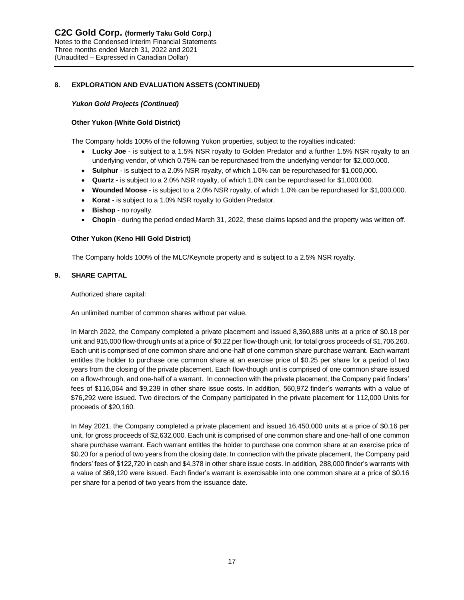# *Yukon Gold Projects (Continued)*

# **Other Yukon (White Gold District)**

The Company holds 100% of the following Yukon properties, subject to the royalties indicated:

- **Lucky Joe** is subject to a 1.5% NSR royalty to Golden Predator and a further 1.5% NSR royalty to an underlying vendor, of which 0.75% can be repurchased from the underlying vendor for \$2,000,000.
- **Sulphur** is subject to a 2.0% NSR royalty, of which 1.0% can be repurchased for \$1,000,000.
- **Quartz** is subject to a 2.0% NSR royalty, of which 1.0% can be repurchased for \$1,000,000.
- **Wounded Moose** is subject to a 2.0% NSR royalty, of which 1.0% can be repurchased for \$1,000,000.
- **Korat** is subject to a 1.0% NSR royalty to Golden Predator.
- **Bishop**  no royalty.
- **Chopin** during the period ended March 31, 2022, these claims lapsed and the property was written off.

# **Other Yukon (Keno Hill Gold District)**

The Company holds 100% of the MLC/Keynote property and is subject to a 2.5% NSR royalty.

# **9. SHARE CAPITAL**

Authorized share capital:

An unlimited number of common shares without par value.

In March 2022, the Company completed a private placement and issued 8,360,888 units at a price of \$0.18 per unit and 915,000 flow-through units at a price of \$0.22 per flow-though unit, for total gross proceeds of \$1,706,260. Each unit is comprised of one common share and one-half of one common share purchase warrant. Each warrant entitles the holder to purchase one common share at an exercise price of \$0.25 per share for a period of two years from the closing of the private placement. Each flow-though unit is comprised of one common share issued on a flow-through, and one-half of a warrant. In connection with the private placement, the Company paid finders' fees of \$116,064 and \$9,239 in other share issue costs. In addition, 560,972 finder's warrants with a value of \$76,292 were issued. Two directors of the Company participated in the private placement for 112,000 Units for proceeds of \$20,160.

 In May 2021, the Company completed a private placement and issued 16,450,000 units at a price of \$0.16 per unit, for gross proceeds of \$2,632,000. Each unit is comprised of one common share and one-half of one common share purchase warrant. Each warrant entitles the holder to purchase one common share at an exercise price of \$0.20 for a period of two years from the closing date. In connection with the private placement, the Company paid finders' fees of \$122,720 in cash and \$4,378 in other share issue costs. In addition, 288,000 finder's warrants with a value of \$69,120 were issued. Each finder's warrant is exercisable into one common share at a price of \$0.16 per share for a period of two years from the issuance date.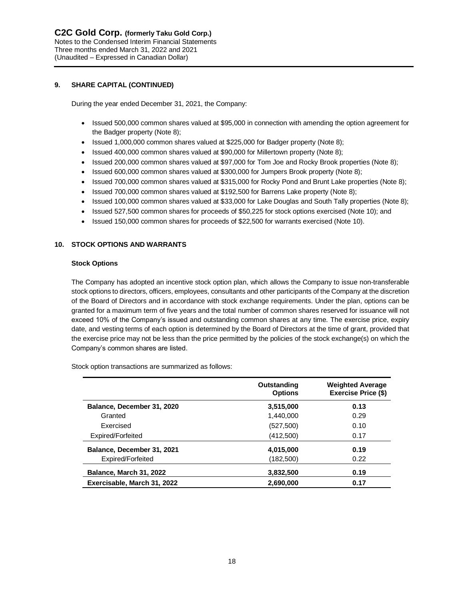# **9. SHARE CAPITAL (CONTINUED)**

During the year ended December 31, 2021, the Company:

- Issued 500,000 common shares valued at \$95,000 in connection with amending the option agreement for the Badger property (Note 8);
- Issued 1,000,000 common shares valued at \$225,000 for Badger property (Note 8);
- Issued 400,000 common shares valued at \$90,000 for Millertown property (Note 8);
- Issued 200,000 common shares valued at \$97,000 for Tom Joe and Rocky Brook properties (Note 8);
- Issued 600,000 common shares valued at \$300,000 for Jumpers Brook property (Note 8);
- Issued 700,000 common shares valued at \$315,000 for Rocky Pond and Brunt Lake properties (Note 8);
- Issued 700,000 common shares valued at \$192,500 for Barrens Lake property (Note 8);
- Issued 100,000 common shares valued at \$33,000 for Lake Douglas and South Tally properties (Note 8);
- Issued 527,500 common shares for proceeds of \$50,225 for stock options exercised (Note 10); and
- Issued 150,000 common shares for proceeds of \$22,500 for warrants exercised (Note 10).

# **10. STOCK OPTIONS AND WARRANTS**

#### **Stock Options**

The Company has adopted an incentive stock option plan, which allows the Company to issue non-transferable stock options to directors, officers, employees, consultants and other participants of the Company at the discretion of the Board of Directors and in accordance with stock exchange requirements. Under the plan, options can be granted for a maximum term of five years and the total number of common shares reserved for issuance will not exceed 10% of the Company's issued and outstanding common shares at any time. The exercise price, expiry date, and vesting terms of each option is determined by the Board of Directors at the time of grant, provided that the exercise price may not be less than the price permitted by the policies of the stock exchange(s) on which the Company's common shares are listed.

Stock option transactions are summarized as follows:

|                             | Outstanding<br><b>Options</b> | <b>Weighted Average</b><br><b>Exercise Price (\$)</b> |
|-----------------------------|-------------------------------|-------------------------------------------------------|
| Balance, December 31, 2020  | 3,515,000                     | 0.13                                                  |
| Granted                     | 1.440.000                     | 0.29                                                  |
| Exercised                   | (527,500)                     | 0.10                                                  |
| Expired/Forfeited           | (412,500)                     | 0.17                                                  |
| Balance, December 31, 2021  | 4,015,000                     | 0.19                                                  |
| Expired/Forfeited           | (182,500)                     | 0.22                                                  |
| Balance, March 31, 2022     | 3,832,500                     | 0.19                                                  |
| Exercisable, March 31, 2022 | 2,690,000                     | 0.17                                                  |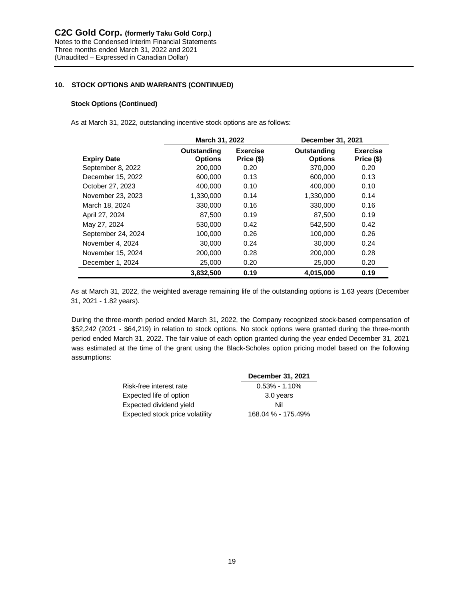# **10. STOCK OPTIONS AND WARRANTS (CONTINUED)**

## **Stock Options (Continued)**

As at March 31, 2022, outstanding incentive stock options are as follows:

|                    | March 31, 2022                |                               | December 31, 2021             |                               |
|--------------------|-------------------------------|-------------------------------|-------------------------------|-------------------------------|
| <b>Expiry Date</b> | Outstanding<br><b>Options</b> | <b>Exercise</b><br>Price (\$) | Outstanding<br><b>Options</b> | <b>Exercise</b><br>Price (\$) |
| September 8, 2022  | 200,000                       | 0.20                          | 370,000                       | 0.20                          |
| December 15, 2022  | 600,000                       | 0.13                          | 600,000                       | 0.13                          |
| October 27, 2023   | 400.000                       | 0.10                          | 400.000                       | 0.10                          |
| November 23, 2023  | 1,330,000                     | 0.14                          | 1,330,000                     | 0.14                          |
| March 18, 2024     | 330,000                       | 0.16                          | 330,000                       | 0.16                          |
| April 27, 2024     | 87,500                        | 0.19                          | 87,500                        | 0.19                          |
| May 27, 2024       | 530,000                       | 0.42                          | 542,500                       | 0.42                          |
| September 24, 2024 | 100,000                       | 0.26                          | 100,000                       | 0.26                          |
| November 4, 2024   | 30,000                        | 0.24                          | 30,000                        | 0.24                          |
| November 15, 2024  | 200.000                       | 0.28                          | 200,000                       | 0.28                          |
| December 1, 2024   | 25,000                        | 0.20                          | 25,000                        | 0.20                          |
|                    | 3,832,500                     | 0.19                          | 4,015,000                     | 0.19                          |

As at March 31, 2022, the weighted average remaining life of the outstanding options is 1.63 years (December 31, 2021 - 1.82 years).

During the three-month period ended March 31, 2022, the Company recognized stock-based compensation of \$52,242 (2021 - \$64,219) in relation to stock options. No stock options were granted during the three-month period ended March 31, 2022. The fair value of each option granted during the year ended December 31, 2021 was estimated at the time of the grant using the Black-Scholes option pricing model based on the following assumptions:

|                                 | December 31, 2021  |
|---------------------------------|--------------------|
| Risk-free interest rate         | $0.53\% - 1.10\%$  |
| Expected life of option         | 3.0 years          |
| Expected dividend yield         | Nil                |
| Expected stock price volatility | 168.04 % - 175.49% |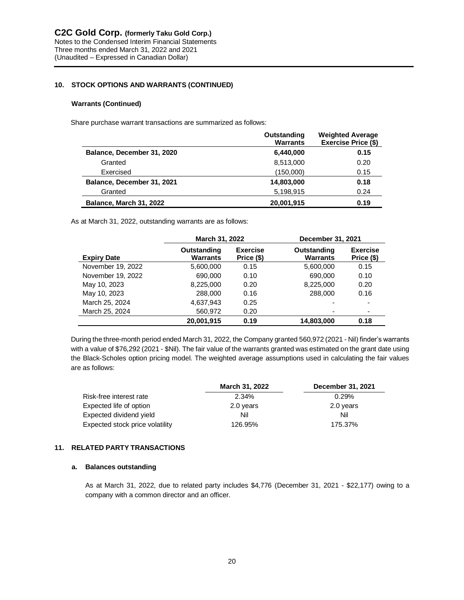# **10. STOCK OPTIONS AND WARRANTS (CONTINUED)**

#### **Warrants (Continued)**

Share purchase warrant transactions are summarized as follows:

|                            | Outstanding<br><b>Warrants</b> | <b>Weighted Average</b><br>Exercise Price (\$) |
|----------------------------|--------------------------------|------------------------------------------------|
| Balance, December 31, 2020 | 6,440,000                      | 0.15                                           |
| Granted                    | 8,513,000                      | 0.20                                           |
| Exercised                  | (150,000)                      | 0.15                                           |
| Balance, December 31, 2021 | 14,803,000                     | 0.18                                           |
| Granted                    | 5,198,915                      | 0.24                                           |
| Balance, March 31, 2022    | 20,001,915                     | 0.19                                           |

As at March 31, 2022, outstanding warrants are as follows:

|                    | March 31, 2022                 |                               | December 31, 2021              |                               |
|--------------------|--------------------------------|-------------------------------|--------------------------------|-------------------------------|
| <b>Expiry Date</b> | Outstanding<br><b>Warrants</b> | <b>Exercise</b><br>Price (\$) | Outstanding<br><b>Warrants</b> | <b>Exercise</b><br>Price (\$) |
| November 19, 2022  | 5,600,000                      | 0.15                          | 5,600,000                      | 0.15                          |
| November 19, 2022  | 690,000                        | 0.10                          | 690.000                        | 0.10                          |
| May 10, 2023       | 8,225,000                      | 0.20                          | 8,225,000                      | 0.20                          |
| May 10, 2023       | 288,000                        | 0.16                          | 288,000                        | 0.16                          |
| March 25, 2024     | 4,637,943                      | 0.25                          |                                | $\overline{\phantom{0}}$      |
| March 25, 2024     | 560,972                        | 0.20                          |                                | ۰                             |
|                    | 20.001.915                     | 0.19                          | 14.803.000                     | 0.18                          |

During the three-month period ended March 31, 2022, the Company granted 560,972 (2021 - Nil) finder's warrants with a value of \$76,292 (2021 - \$Nil). The fair value of the warrants granted was estimated on the grant date using the Black-Scholes option pricing model. The weighted average assumptions used in calculating the fair values are as follows:

|                                 | March 31, 2022 | December 31, 2021 |  |
|---------------------------------|----------------|-------------------|--|
| Risk-free interest rate         | 2.34%          | 0.29%             |  |
| Expected life of option         | 2.0 years      | 2.0 years         |  |
| Expected dividend yield         | Nil            | Nil               |  |
| Expected stock price volatility | 126.95%        | 175.37%           |  |

## **11. RELATED PARTY TRANSACTIONS**

# **a. Balances outstanding**

As at March 31, 2022, due to related party includes \$4,776 (December 31, 2021 - \$22,177) owing to a company with a common director and an officer.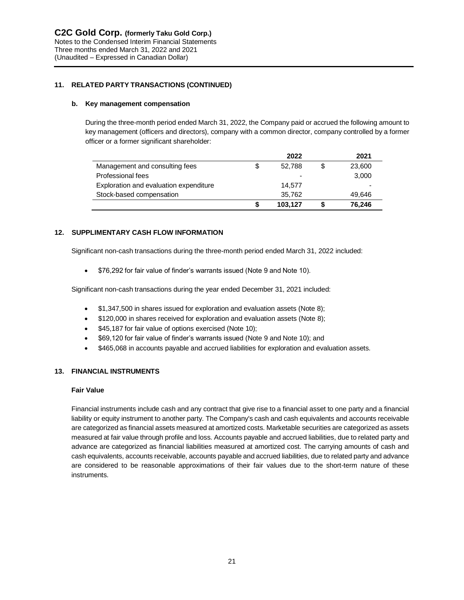# **11. RELATED PARTY TRANSACTIONS (CONTINUED)**

#### **b. Key management compensation**

During the three-month period ended March 31, 2022, the Company paid or accrued the following amount to key management (officers and directors), company with a common director, company controlled by a former officer or a former significant shareholder:

|                                        |    | 2022                     | 2021   |
|----------------------------------------|----|--------------------------|--------|
| Management and consulting fees         | \$ | 52.788                   | 23,600 |
| Professional fees                      |    | $\overline{\phantom{0}}$ | 3,000  |
| Exploration and evaluation expenditure |    | 14.577                   |        |
| Stock-based compensation               |    | 35,762                   | 49,646 |
|                                        | S  | 103.127                  | 76.246 |

## **12. SUPPLIMENTARY CASH FLOW INFORMATION**

Significant non-cash transactions during the three-month period ended March 31, 2022 included:

• \$76,292 for fair value of finder's warrants issued (Note 9 and Note 10).

Significant non-cash transactions during the year ended December 31, 2021 included:

- \$1,347,500 in shares issued for exploration and evaluation assets (Note 8);
- \$120,000 in shares received for exploration and evaluation assets (Note 8);
- \$45,187 for fair value of options exercised (Note 10);
- \$69,120 for fair value of finder's warrants issued (Note 9 and Note 10); and
- \$465,068 in accounts payable and accrued liabilities for exploration and evaluation assets.

## **13. FINANCIAL INSTRUMENTS**

#### **Fair Value**

Financial instruments include cash and any contract that give rise to a financial asset to one party and a financial liability or equity instrument to another party. The Company's cash and cash equivalents and accounts receivable are categorized as financial assets measured at amortized costs. Marketable securities are categorized as assets measured at fair value through profile and loss. Accounts payable and accrued liabilities, due to related party and advance are categorized as financial liabilities measured at amortized cost. The carrying amounts of cash and cash equivalents, accounts receivable, accounts payable and accrued liabilities, due to related party and advance are considered to be reasonable approximations of their fair values due to the short-term nature of these instruments.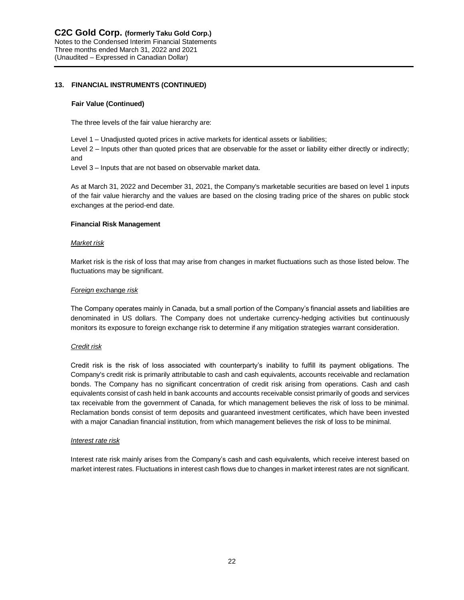# **13. FINANCIAL INSTRUMENTS (CONTINUED)**

#### **Fair Value (Continued)**

The three levels of the fair value hierarchy are:

Level 1 – Unadjusted quoted prices in active markets for identical assets or liabilities;

Level 2 – Inputs other than quoted prices that are observable for the asset or liability either directly or indirectly; and

Level 3 – Inputs that are not based on observable market data.

As at March 31, 2022 and December 31, 2021, the Company's marketable securities are based on level 1 inputs of the fair value hierarchy and the values are based on the closing trading price of the shares on public stock exchanges at the period-end date.

#### **Financial Risk Management**

#### *Market risk*

Market risk is the risk of loss that may arise from changes in market fluctuations such as those listed below. The fluctuations may be significant.

#### *Foreign* exchange *risk*

The Company operates mainly in Canada, but a small portion of the Company's financial assets and liabilities are denominated in US dollars. The Company does not undertake currency-hedging activities but continuously monitors its exposure to foreign exchange risk to determine if any mitigation strategies warrant consideration.

## *Credit risk*

Credit risk is the risk of loss associated with counterparty's inability to fulfill its payment obligations. The Company's credit risk is primarily attributable to cash and cash equivalents, accounts receivable and reclamation bonds. The Company has no significant concentration of credit risk arising from operations. Cash and cash equivalents consist of cash held in bank accounts and accounts receivable consist primarily of goods and services tax receivable from the government of Canada, for which management believes the risk of loss to be minimal. Reclamation bonds consist of term deposits and guaranteed investment certificates, which have been invested with a major Canadian financial institution, from which management believes the risk of loss to be minimal.

#### *Interest rate risk*

Interest rate risk mainly arises from the Company's cash and cash equivalents, which receive interest based on market interest rates. Fluctuations in interest cash flows due to changes in market interest rates are not significant.